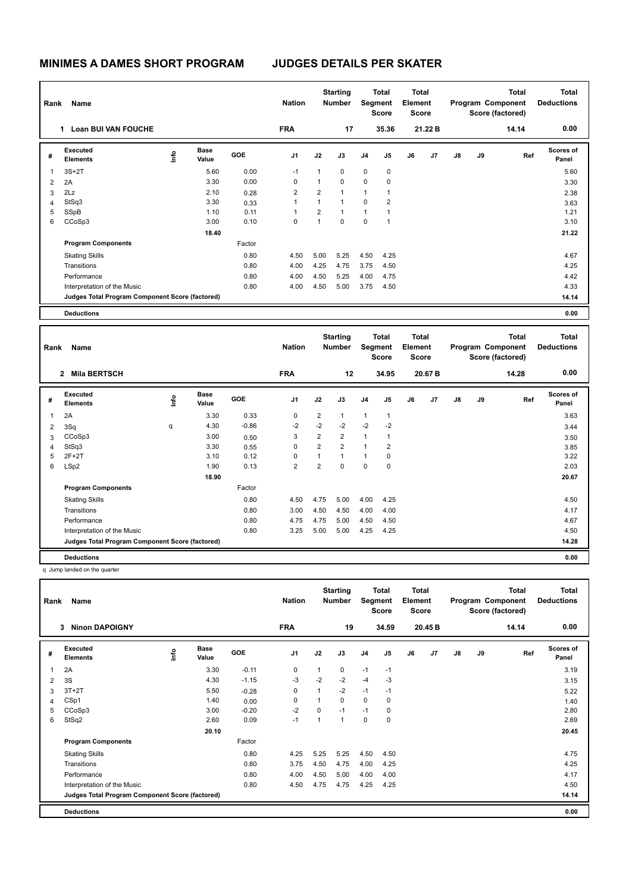| Rank | Name                                            |      |               |            | <b>Nation</b>  |                | <b>Starting</b><br><b>Number</b> |                | Total<br>Segment<br><b>Score</b> | <b>Total</b><br>Element<br><b>Score</b> |         |    |    | <b>Total</b><br>Program Component<br>Score (factored) | <b>Total</b><br><b>Deductions</b> |
|------|-------------------------------------------------|------|---------------|------------|----------------|----------------|----------------------------------|----------------|----------------------------------|-----------------------------------------|---------|----|----|-------------------------------------------------------|-----------------------------------|
|      | <b>Loan BUI VAN FOUCHE</b><br>1                 |      |               |            | <b>FRA</b>     |                | 17                               |                | 35.36                            |                                         | 21.22 B |    |    | 14.14                                                 | 0.00                              |
| #    | Executed<br><b>Elements</b>                     | lnfo | Base<br>Value | <b>GOE</b> | J <sub>1</sub> | J2             | J3                               | J <sub>4</sub> | J <sub>5</sub>                   | J6                                      | J7      | J8 | J9 | Ref                                                   | Scores of<br>Panel                |
| 1    | $3S+2T$                                         |      | 5.60          | 0.00       | $-1$           | 1              | $\mathbf 0$                      | $\mathbf 0$    | $\mathbf 0$                      |                                         |         |    |    |                                                       | 5.60                              |
| 2    | 2A                                              |      | 3.30          | 0.00       | 0              | 1              | $\mathbf 0$                      | $\mathbf 0$    | 0                                |                                         |         |    |    |                                                       | 3.30                              |
| 3    | 2Lz                                             |      | 2.10          | 0.28       | $\overline{2}$ | $\overline{2}$ | 1                                | 1              | 1                                |                                         |         |    |    |                                                       | 2.38                              |
| 4    | StSq3                                           |      | 3.30          | 0.33       | 1              | $\overline{1}$ | $\mathbf{1}$                     | 0              | 2                                |                                         |         |    |    |                                                       | 3.63                              |
| 5    | SSpB                                            |      | 1.10          | 0.11       | 1              | $\overline{2}$ | $\mathbf{1}$                     | 1              | 1                                |                                         |         |    |    |                                                       | 1.21                              |
| 6    | CCoSp3                                          |      | 3.00          | 0.10       | $\mathbf 0$    | 1              | $\mathbf 0$                      | $\mathbf 0$    | 1                                |                                         |         |    |    |                                                       | 3.10                              |
|      |                                                 |      | 18.40         |            |                |                |                                  |                |                                  |                                         |         |    |    |                                                       | 21.22                             |
|      | <b>Program Components</b>                       |      |               | Factor     |                |                |                                  |                |                                  |                                         |         |    |    |                                                       |                                   |
|      | <b>Skating Skills</b>                           |      |               | 0.80       | 4.50           | 5.00           | 5.25                             | 4.50           | 4.25                             |                                         |         |    |    |                                                       | 4.67                              |
|      | Transitions                                     |      |               | 0.80       | 4.00           | 4.25           | 4.75                             | 3.75           | 4.50                             |                                         |         |    |    |                                                       | 4.25                              |
|      | Performance                                     |      |               | 0.80       | 4.00           | 4.50           | 5.25                             | 4.00           | 4.75                             |                                         |         |    |    |                                                       | 4.42                              |
|      | Interpretation of the Music                     |      |               | 0.80       | 4.00           | 4.50           | 5.00                             | 3.75           | 4.50                             |                                         |         |    |    |                                                       | 4.33                              |
|      | Judges Total Program Component Score (factored) |      |               |            |                |                |                                  |                |                                  |                                         |         |    |    |                                                       | 14.14                             |
|      | <b>Deductions</b>                               |      |               |            |                |                |                                  |                |                                  |                                         |         |    |    |                                                       | 0.00                              |

| Rank | Name                                            |    |                      |            | <b>Nation</b>  |                | <b>Starting</b><br><b>Number</b> |                | <b>Total</b><br>Segment<br><b>Score</b> | Total<br>Element<br><b>Score</b> |         |               |    | <b>Total</b><br>Program Component<br>Score (factored) | <b>Total</b><br><b>Deductions</b> |
|------|-------------------------------------------------|----|----------------------|------------|----------------|----------------|----------------------------------|----------------|-----------------------------------------|----------------------------------|---------|---------------|----|-------------------------------------------------------|-----------------------------------|
|      | <b>Mila BERTSCH</b><br>$\overline{2}$           |    |                      |            | <b>FRA</b>     |                | 12                               |                | 34.95                                   |                                  | 20.67 B |               |    | 14.28                                                 | 0.00                              |
| #    | Executed<br><b>Elements</b>                     | ۴ů | <b>Base</b><br>Value | <b>GOE</b> | J1             | J2             | J3                               | J <sub>4</sub> | J <sub>5</sub>                          | J6                               | J7      | $\mathsf{J}8$ | J9 | Ref                                                   | <b>Scores of</b><br>Panel         |
|      | 2A                                              |    | 3.30                 | 0.33       | 0              | $\overline{2}$ | $\mathbf{1}$                     | $\overline{1}$ | $\mathbf{1}$                            |                                  |         |               |    |                                                       | 3.63                              |
| 2    | 3Sq                                             | q  | 4.30                 | $-0.86$    | $-2$           | $-2$           | $-2$                             | $-2$           | $-2$                                    |                                  |         |               |    |                                                       | 3.44                              |
| 3    | CCoSp3                                          |    | 3.00                 | 0.50       | 3              | $\overline{2}$ | $\overline{2}$                   | $\overline{1}$ | $\mathbf{1}$                            |                                  |         |               |    |                                                       | 3.50                              |
| 4    | StSq3                                           |    | 3.30                 | 0.55       | 0              | $\overline{2}$ | $\overline{2}$                   | $\overline{1}$ | $\overline{2}$                          |                                  |         |               |    |                                                       | 3.85                              |
| 5    | $2F+2T$                                         |    | 3.10                 | 0.12       | $\Omega$       | $\mathbf{1}$   | $\mathbf{1}$                     | $\overline{1}$ | $\mathbf 0$                             |                                  |         |               |    |                                                       | 3.22                              |
| 6    | LSp2                                            |    | 1.90                 | 0.13       | $\overline{2}$ | $\overline{2}$ | $\Omega$                         | $\mathbf 0$    | $\mathbf 0$                             |                                  |         |               |    |                                                       | 2.03                              |
|      |                                                 |    | 18.90                |            |                |                |                                  |                |                                         |                                  |         |               |    |                                                       | 20.67                             |
|      | <b>Program Components</b>                       |    |                      | Factor     |                |                |                                  |                |                                         |                                  |         |               |    |                                                       |                                   |
|      | <b>Skating Skills</b>                           |    |                      | 0.80       | 4.50           | 4.75           | 5.00                             | 4.00           | 4.25                                    |                                  |         |               |    |                                                       | 4.50                              |
|      | Transitions                                     |    |                      | 0.80       | 3.00           | 4.50           | 4.50                             | 4.00           | 4.00                                    |                                  |         |               |    |                                                       | 4.17                              |
|      | Performance                                     |    |                      | 0.80       | 4.75           | 4.75           | 5.00                             | 4.50           | 4.50                                    |                                  |         |               |    |                                                       | 4.67                              |
|      | Interpretation of the Music                     |    |                      | 0.80       | 3.25           | 5.00           | 5.00                             | 4.25           | 4.25                                    |                                  |         |               |    |                                                       | 4.50                              |
|      | Judges Total Program Component Score (factored) |    |                      |            |                |                |                                  |                |                                         |                                  |         |               |    |                                                       | 14.28                             |
|      | <b>Deductions</b>                               |    |                      |            |                |                |                                  |                |                                         |                                  |         |               |    |                                                       | 0.00                              |

q Jump landed on the quarter

| Rank | Name<br>3                                       |      |                      |            | <b>Nation</b>  |          | <b>Starting</b><br><b>Number</b> | Segment        | Total<br><b>Score</b> | <b>Total</b><br>Element<br><b>Score</b> |         |    |    | <b>Total</b><br>Program Component<br>Score (factored) | <b>Total</b><br><b>Deductions</b> |
|------|-------------------------------------------------|------|----------------------|------------|----------------|----------|----------------------------------|----------------|-----------------------|-----------------------------------------|---------|----|----|-------------------------------------------------------|-----------------------------------|
|      | <b>Ninon DAPOIGNY</b>                           |      |                      |            | <b>FRA</b>     |          | 19                               |                | 34.59                 |                                         | 20.45 B |    |    | 14.14                                                 | 0.00                              |
| #    | Executed<br><b>Elements</b>                     | lnfo | <b>Base</b><br>Value | <b>GOE</b> | J <sub>1</sub> | J2       | J3                               | J <sub>4</sub> | J <sub>5</sub>        | J6                                      | J7      | J8 | J9 | Ref                                                   | <b>Scores of</b><br>Panel         |
| 1    | 2A                                              |      | 3.30                 | $-0.11$    | 0              | 1        | 0                                | $-1$           | $-1$                  |                                         |         |    |    |                                                       | 3.19                              |
| 2    | 3S                                              |      | 4.30                 | $-1.15$    | $-3$           | $-2$     | $-2$                             | $-4$           | -3                    |                                         |         |    |    |                                                       | 3.15                              |
| 3    | $3T+2T$                                         |      | 5.50                 | $-0.28$    | 0              | 1        | $-2$                             | $-1$           | $-1$                  |                                         |         |    |    |                                                       | 5.22                              |
| 4    | CSp1                                            |      | 1.40                 | 0.00       | 0              | 1        | 0                                | $\mathbf 0$    | 0                     |                                         |         |    |    |                                                       | 1.40                              |
| 5    | CCoSp3                                          |      | 3.00                 | $-0.20$    | $-2$           | $\Omega$ | $-1$                             | $-1$           | 0                     |                                         |         |    |    |                                                       | 2.80                              |
| 6    | StSq2                                           |      | 2.60                 | 0.09       | $-1$           | 1        | $\overline{1}$                   | $\mathbf 0$    | $\mathbf 0$           |                                         |         |    |    |                                                       | 2.69                              |
|      |                                                 |      | 20.10                |            |                |          |                                  |                |                       |                                         |         |    |    |                                                       | 20.45                             |
|      | <b>Program Components</b>                       |      |                      | Factor     |                |          |                                  |                |                       |                                         |         |    |    |                                                       |                                   |
|      | <b>Skating Skills</b>                           |      |                      | 0.80       | 4.25           | 5.25     | 5.25                             | 4.50           | 4.50                  |                                         |         |    |    |                                                       | 4.75                              |
|      | Transitions                                     |      |                      | 0.80       | 3.75           | 4.50     | 4.75                             | 4.00           | 4.25                  |                                         |         |    |    |                                                       | 4.25                              |
|      | Performance                                     |      |                      | 0.80       | 4.00           | 4.50     | 5.00                             | 4.00           | 4.00                  |                                         |         |    |    |                                                       | 4.17                              |
|      | Interpretation of the Music                     |      |                      | 0.80       | 4.50           | 4.75     | 4.75                             | 4.25           | 4.25                  |                                         |         |    |    |                                                       | 4.50                              |
|      | Judges Total Program Component Score (factored) |      |                      |            |                |          |                                  |                |                       |                                         |         |    |    |                                                       | 14.14                             |
|      | <b>Deductions</b>                               |      |                      |            |                |          |                                  |                |                       |                                         |         |    |    |                                                       | 0.00                              |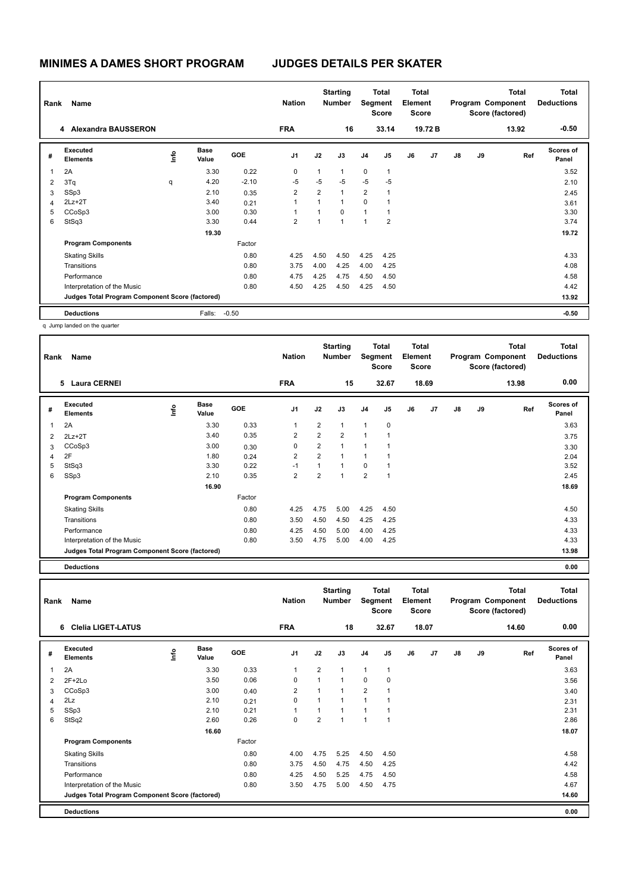|                         | Name<br>Rank<br><b>Alexandra BAUSSERON</b><br>4 |      |                      |            | <b>Nation</b>  |                | <b>Starting</b><br><b>Number</b> | <b>Segment</b> | Total<br><b>Score</b> | <b>Total</b><br>Element<br>Score |         |               |    | <b>Total</b><br>Program Component<br>Score (factored) | <b>Total</b><br><b>Deductions</b> |
|-------------------------|-------------------------------------------------|------|----------------------|------------|----------------|----------------|----------------------------------|----------------|-----------------------|----------------------------------|---------|---------------|----|-------------------------------------------------------|-----------------------------------|
|                         |                                                 |      |                      |            | <b>FRA</b>     |                | 16                               |                | 33.14                 |                                  | 19.72 B |               |    | 13.92                                                 | $-0.50$                           |
| #                       | Executed<br><b>Elements</b>                     | ١mfo | <b>Base</b><br>Value | <b>GOE</b> | J <sub>1</sub> | J2             | J3                               | J <sub>4</sub> | J5                    | J6                               | J7      | $\mathsf{J}8$ | J9 | Ref                                                   | <b>Scores of</b><br>Panel         |
| $\overline{\mathbf{1}}$ | 2A                                              |      | 3.30                 | 0.22       | 0              | 1              | $\mathbf{1}$                     | $\mathbf 0$    | $\mathbf{1}$          |                                  |         |               |    |                                                       | 3.52                              |
| $\overline{2}$          | 3Tq                                             | q    | 4.20                 | $-2.10$    | $-5$           | $-5$           | $-5$                             | $-5$           | $-5$                  |                                  |         |               |    |                                                       | 2.10                              |
| 3                       | SSp3                                            |      | 2.10                 | 0.35       | $\overline{2}$ | $\overline{2}$ | $\mathbf{1}$                     | 2              | 1                     |                                  |         |               |    |                                                       | 2.45                              |
| 4                       | $2Lz+2T$                                        |      | 3.40                 | 0.21       |                | 1              | 1                                | $\Omega$       | 1                     |                                  |         |               |    |                                                       | 3.61                              |
| 5                       | CCoSp3                                          |      | 3.00                 | 0.30       |                | $\overline{A}$ | $\Omega$                         | $\overline{ }$ | 1                     |                                  |         |               |    |                                                       | 3.30                              |
| 6                       | StSq3                                           |      | 3.30                 | 0.44       | $\overline{2}$ | 1              | $\overline{1}$                   | $\overline{ }$ | 2                     |                                  |         |               |    |                                                       | 3.74                              |
|                         |                                                 |      | 19.30                |            |                |                |                                  |                |                       |                                  |         |               |    |                                                       | 19.72                             |
|                         | <b>Program Components</b>                       |      |                      | Factor     |                |                |                                  |                |                       |                                  |         |               |    |                                                       |                                   |
|                         | <b>Skating Skills</b>                           |      |                      | 0.80       | 4.25           | 4.50           | 4.50                             | 4.25           | 4.25                  |                                  |         |               |    |                                                       | 4.33                              |
|                         | Transitions                                     |      |                      | 0.80       | 3.75           | 4.00           | 4.25                             | 4.00           | 4.25                  |                                  |         |               |    |                                                       | 4.08                              |
|                         | Performance                                     |      |                      | 0.80       | 4.75           | 4.25           | 4.75                             | 4.50           | 4.50                  |                                  |         |               |    |                                                       | 4.58                              |
|                         | Interpretation of the Music                     |      |                      | 0.80       | 4.50           | 4.25           | 4.50                             | 4.25           | 4.50                  |                                  |         |               |    |                                                       | 4.42                              |
|                         | Judges Total Program Component Score (factored) |      |                      |            |                |                |                                  |                |                       |                                  |         |               |    |                                                       | 13.92                             |
|                         | <b>Deductions</b>                               |      | Falls:               | $-0.50$    |                |                |                                  |                |                       |                                  |         |               |    |                                                       | $-0.50$                           |

q Jump landed on the quarter

| Name                        |                                   | <b>Nation</b>        |                                                 |                |                |                |                                        |                |                                                  |    | <b>Total</b>                              | <b>Total</b><br><b>Deductions</b><br>0.00 |     |                                                |
|-----------------------------|-----------------------------------|----------------------|-------------------------------------------------|----------------|----------------|----------------|----------------------------------------|----------------|--------------------------------------------------|----|-------------------------------------------|-------------------------------------------|-----|------------------------------------------------|
|                             |                                   |                      |                                                 |                |                |                |                                        |                |                                                  |    |                                           |                                           |     |                                                |
| Executed<br><b>Elements</b> | lnfo                              | <b>Base</b><br>Value | <b>GOE</b>                                      | J <sub>1</sub> | J2             | J3             | J <sub>4</sub>                         | J5             | J6                                               | J7 | J8                                        | J9                                        | Ref | Scores of<br>Panel                             |
| 2A                          |                                   | 3.30                 | 0.33                                            | 1              | $\overline{2}$ | $\mathbf{1}$   | $\mathbf{1}$                           | $\mathbf 0$    |                                                  |    |                                           |                                           |     | 3.63                                           |
| $2Lz+2T$                    |                                   | 3.40                 | 0.35                                            | $\overline{2}$ | $\overline{2}$ | $\overline{2}$ | $\overline{1}$                         | 1              |                                                  |    |                                           |                                           |     | 3.75                                           |
| CCoSp3                      |                                   | 3.00                 | 0.30                                            | 0              | $\overline{2}$ | $\overline{1}$ | $\overline{1}$                         | L.             |                                                  |    |                                           |                                           |     | 3.30                                           |
| 2F                          |                                   | 1.80                 | 0.24                                            | $\overline{2}$ | $\overline{2}$ | $\overline{1}$ | 1                                      | 1              |                                                  |    |                                           |                                           |     | 2.04                                           |
| StSq3                       |                                   | 3.30                 | 0.22                                            | $-1$           | 1              | $\mathbf{1}$   | 0                                      | f.             |                                                  |    |                                           |                                           |     | 3.52                                           |
| SSp3                        |                                   | 2.10                 | 0.35                                            | $\overline{2}$ | $\overline{2}$ | $\mathbf{1}$   | $\overline{2}$                         | $\overline{1}$ |                                                  |    |                                           |                                           |     | 2.45                                           |
|                             |                                   | 16.90                |                                                 |                |                |                |                                        |                |                                                  |    |                                           |                                           |     | 18.69                                          |
| <b>Program Components</b>   |                                   |                      | Factor                                          |                |                |                |                                        |                |                                                  |    |                                           |                                           |     |                                                |
| <b>Skating Skills</b>       |                                   |                      | 0.80                                            | 4.25           | 4.75           | 5.00           | 4.25                                   | 4.50           |                                                  |    |                                           |                                           |     | 4.50                                           |
| Transitions                 |                                   |                      | 0.80                                            | 3.50           | 4.50           | 4.50           | 4.25                                   | 4.25           |                                                  |    |                                           |                                           |     | 4.33                                           |
| Performance                 |                                   |                      | 0.80                                            | 4.25           | 4.50           | 5.00           | 4.00                                   | 4.25           |                                                  |    |                                           |                                           |     | 4.33                                           |
| Interpretation of the Music |                                   |                      | 0.80                                            | 3.50           | 4.75           | 5.00           | 4.00                                   | 4.25           |                                                  |    |                                           |                                           |     | 4.33                                           |
|                             |                                   |                      |                                                 |                |                |                |                                        |                |                                                  |    |                                           |                                           |     | 13.98                                          |
|                             | Rank<br><b>Laura CERNEI</b><br>5. |                      | Judges Total Program Component Score (factored) |                | <b>FRA</b>     |                | <b>Starting</b><br><b>Number</b><br>15 |                | Total<br><b>Segment</b><br><b>Score</b><br>32.67 |    | Total<br>Element<br><b>Score</b><br>18.69 |                                           |     | Program Component<br>Score (factored)<br>13.98 |

**Deductions 0.00**

| Rank | Name<br>6                                       |      |                      |            | <b>Nation</b>  |                | <b>Starting</b><br><b>Number</b> | Segment        | Total<br><b>Score</b> | <b>Total</b><br>Element<br><b>Score</b> |       |    |    | <b>Total</b><br>Program Component<br>Score (factored) | <b>Total</b><br><b>Deductions</b> |
|------|-------------------------------------------------|------|----------------------|------------|----------------|----------------|----------------------------------|----------------|-----------------------|-----------------------------------------|-------|----|----|-------------------------------------------------------|-----------------------------------|
|      | <b>Clelia LIGET-LATUS</b>                       |      |                      |            | <b>FRA</b>     |                | 18                               |                | 32.67                 |                                         | 18.07 |    |    | 14.60                                                 | 0.00                              |
| #    | Executed<br><b>Elements</b>                     | lnfo | <b>Base</b><br>Value | <b>GOE</b> | J <sub>1</sub> | J2             | J3                               | J <sub>4</sub> | J5                    | J6                                      | J7    | J8 | J9 | Ref                                                   | Scores of<br>Panel                |
| 1    | 2A                                              |      | 3.30                 | 0.33       | $\overline{1}$ | $\overline{2}$ | $\mathbf{1}$                     | $\mathbf{1}$   | $\overline{1}$        |                                         |       |    |    |                                                       | 3.63                              |
| 2    | $2F+2Lo$                                        |      | 3.50                 | 0.06       | $\Omega$       | $\mathbf{1}$   | $\mathbf{1}$                     | $\Omega$       | 0                     |                                         |       |    |    |                                                       | 3.56                              |
| 3    | CCoSp3                                          |      | 3.00                 | 0.40       | 2              |                | $\overline{1}$                   | $\overline{2}$ | 4                     |                                         |       |    |    |                                                       | 3.40                              |
| 4    | 2Lz                                             |      | 2.10                 | 0.21       | $\mathbf 0$    |                | $\overline{1}$                   | 1              |                       |                                         |       |    |    |                                                       | 2.31                              |
| 5    | SSp3                                            |      | 2.10                 | 0.21       | 1              | 1              | $\mathbf{1}$                     | $\mathbf{1}$   | 1                     |                                         |       |    |    |                                                       | 2.31                              |
| 6    | StSq2                                           |      | 2.60                 | 0.26       | 0              | $\overline{2}$ | $\overline{1}$                   | $\mathbf{1}$   | $\overline{1}$        |                                         |       |    |    |                                                       | 2.86                              |
|      |                                                 |      | 16.60                |            |                |                |                                  |                |                       |                                         |       |    |    |                                                       | 18.07                             |
|      | <b>Program Components</b>                       |      |                      | Factor     |                |                |                                  |                |                       |                                         |       |    |    |                                                       |                                   |
|      | <b>Skating Skills</b>                           |      |                      | 0.80       | 4.00           | 4.75           | 5.25                             | 4.50           | 4.50                  |                                         |       |    |    |                                                       | 4.58                              |
|      | Transitions                                     |      |                      | 0.80       | 3.75           | 4.50           | 4.75                             | 4.50           | 4.25                  |                                         |       |    |    |                                                       | 4.42                              |
|      | Performance                                     |      |                      | 0.80       | 4.25           | 4.50           | 5.25                             | 4.75           | 4.50                  |                                         |       |    |    |                                                       | 4.58                              |
|      | Interpretation of the Music                     |      |                      | 0.80       | 3.50           | 4.75           | 5.00                             | 4.50           | 4.75                  |                                         |       |    |    |                                                       | 4.67                              |
|      | Judges Total Program Component Score (factored) |      |                      |            |                |                |                                  |                |                       |                                         |       |    |    |                                                       | 14.60                             |
|      | <b>Deductions</b>                               |      |                      |            |                |                |                                  |                |                       |                                         |       |    |    |                                                       | 0.00                              |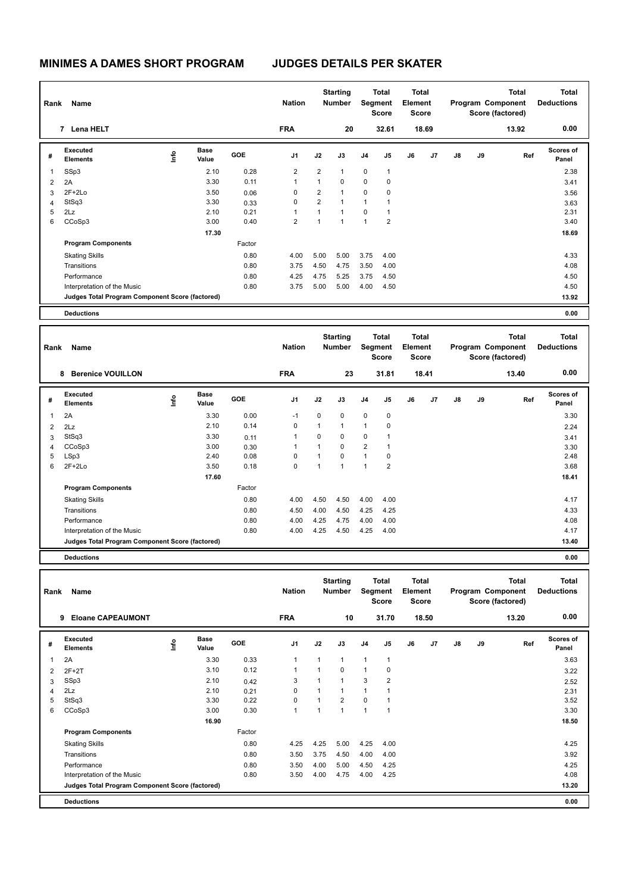| Rank         | Name                                            |      | <b>Nation</b>        |            | <b>Starting</b><br><b>Number</b> |                | <b>Total</b><br>Segment<br><b>Score</b> | <b>Total</b><br>Element<br>Score |                |    |       | <b>Total</b><br>Program Component<br>Score (factored) | <b>Total</b><br><b>Deductions</b> |       |                           |
|--------------|-------------------------------------------------|------|----------------------|------------|----------------------------------|----------------|-----------------------------------------|----------------------------------|----------------|----|-------|-------------------------------------------------------|-----------------------------------|-------|---------------------------|
|              | 7 Lena HELT                                     |      |                      |            | <b>FRA</b>                       |                | 20                                      |                                  | 32.61          |    | 18.69 |                                                       |                                   | 13.92 | 0.00                      |
| #            | Executed<br><b>Elements</b>                     | lnfo | <b>Base</b><br>Value | <b>GOE</b> | J <sub>1</sub>                   | J2             | J3                                      | J <sub>4</sub>                   | J5             | J6 | J7    | $\mathsf{J}8$                                         | J9                                | Ref   | <b>Scores of</b><br>Panel |
| $\mathbf{1}$ | SSp3                                            |      | 2.10                 | 0.28       | 2                                | 2              | 1                                       | $\mathbf 0$                      | $\mathbf{1}$   |    |       |                                                       |                                   |       | 2.38                      |
| 2            | 2A                                              |      | 3.30                 | 0.11       | 1                                | $\mathbf{1}$   | $\Omega$                                | 0                                | 0              |    |       |                                                       |                                   |       | 3.41                      |
| 3            | $2F+2Lo$                                        |      | 3.50                 | 0.06       | 0                                | $\overline{2}$ | $\overline{1}$                          | 0                                | $\mathbf 0$    |    |       |                                                       |                                   |       | 3.56                      |
| 4            | StSq3                                           |      | 3.30                 | 0.33       | 0                                | $\overline{2}$ |                                         | $\mathbf{1}$                     | 1              |    |       |                                                       |                                   |       | 3.63                      |
| 5            | 2Lz                                             |      | 2.10                 | 0.21       | 1                                | 1              | 1                                       | 0                                | 1              |    |       |                                                       |                                   |       | 2.31                      |
| 6            | CCoSp3                                          |      | 3.00                 | 0.40       | $\overline{2}$                   | 1              | $\overline{1}$                          | $\mathbf{1}$                     | $\overline{2}$ |    |       |                                                       |                                   |       | 3.40                      |
|              |                                                 |      | 17.30                |            |                                  |                |                                         |                                  |                |    |       |                                                       |                                   |       | 18.69                     |
|              | <b>Program Components</b>                       |      |                      | Factor     |                                  |                |                                         |                                  |                |    |       |                                                       |                                   |       |                           |
|              | <b>Skating Skills</b>                           |      |                      | 0.80       | 4.00                             | 5.00           | 5.00                                    | 3.75                             | 4.00           |    |       |                                                       |                                   |       | 4.33                      |
|              | Transitions                                     |      |                      | 0.80       | 3.75                             | 4.50           | 4.75                                    | 3.50                             | 4.00           |    |       |                                                       |                                   |       | 4.08                      |
|              | Performance                                     |      |                      | 0.80       | 4.25                             | 4.75           | 5.25                                    | 3.75                             | 4.50           |    |       |                                                       |                                   |       | 4.50                      |
|              | Interpretation of the Music                     |      |                      | 0.80       | 3.75                             | 5.00           | 5.00                                    | 4.00                             | 4.50           |    |       |                                                       |                                   |       | 4.50                      |
|              | Judges Total Program Component Score (factored) |      |                      |            |                                  |                |                                         |                                  |                |    |       |                                                       |                                   |       | 13.92                     |
|              | <b>Deductions</b>                               |      |                      |            |                                  |                |                                         |                                  |                |    |       |                                                       |                                   |       | 0.00                      |

| Rank | Name                                            |      |                      |            | <b>Nation</b>  |              | <b>Starting</b><br><b>Number</b> | Segment        | <b>Total</b><br><b>Score</b> | <b>Total</b><br>Element<br><b>Score</b> |       |    |    | <b>Total</b><br>Program Component<br>Score (factored) | <b>Total</b><br><b>Deductions</b> |
|------|-------------------------------------------------|------|----------------------|------------|----------------|--------------|----------------------------------|----------------|------------------------------|-----------------------------------------|-------|----|----|-------------------------------------------------------|-----------------------------------|
|      | <b>Berenice VOUILLON</b><br>8                   |      |                      |            | <b>FRA</b>     |              | 23                               |                | 31.81                        |                                         | 18.41 |    |    | 13.40                                                 | 0.00                              |
| #    | Executed<br><b>Elements</b>                     | lnfo | <b>Base</b><br>Value | <b>GOE</b> | J <sub>1</sub> | J2           | J3                               | J <sub>4</sub> | J <sub>5</sub>               | J6                                      | J7    | J8 | J9 | Ref                                                   | <b>Scores of</b><br>Panel         |
| 1    | 2A                                              |      | 3.30                 | 0.00       | $-1$           | 0            | $\mathbf 0$                      | $\mathbf 0$    | $\mathbf 0$                  |                                         |       |    |    |                                                       | 3.30                              |
| 2    | 2Lz                                             |      | 2.10                 | 0.14       | 0              | $\mathbf{1}$ | 1                                | $\mathbf{1}$   | $\mathbf 0$                  |                                         |       |    |    |                                                       | 2.24                              |
| 3    | StSq3                                           |      | 3.30                 | 0.11       | $\mathbf{1}$   | 0            | 0                                | 0              | $\overline{1}$               |                                         |       |    |    |                                                       | 3.41                              |
| 4    | CCoSp3                                          |      | 3.00                 | 0.30       |                | 1            | 0                                | $\overline{2}$ | $\overline{1}$               |                                         |       |    |    |                                                       | 3.30                              |
| 5    | LSp3                                            |      | 2.40                 | 0.08       | 0              | $\mathbf{1}$ | $\Omega$                         | $\mathbf{1}$   | $\mathbf 0$                  |                                         |       |    |    |                                                       | 2.48                              |
| 6    | $2F+2Lo$                                        |      | 3.50                 | 0.18       | 0              | 1            | $\overline{ }$                   | $\mathbf{1}$   | $\overline{2}$               |                                         |       |    |    |                                                       | 3.68                              |
|      |                                                 |      | 17.60                |            |                |              |                                  |                |                              |                                         |       |    |    |                                                       | 18.41                             |
|      | <b>Program Components</b>                       |      |                      | Factor     |                |              |                                  |                |                              |                                         |       |    |    |                                                       |                                   |
|      | <b>Skating Skills</b>                           |      |                      | 0.80       | 4.00           | 4.50         | 4.50                             | 4.00           | 4.00                         |                                         |       |    |    |                                                       | 4.17                              |
|      | Transitions                                     |      |                      | 0.80       | 4.50           | 4.00         | 4.50                             | 4.25           | 4.25                         |                                         |       |    |    |                                                       | 4.33                              |
|      | Performance                                     |      |                      | 0.80       | 4.00           | 4.25         | 4.75                             | 4.00           | 4.00                         |                                         |       |    |    |                                                       | 4.08                              |
|      | Interpretation of the Music                     |      |                      | 0.80       | 4.00           | 4.25         | 4.50                             | 4.25           | 4.00                         |                                         |       |    |    |                                                       | 4.17                              |
|      | Judges Total Program Component Score (factored) |      |                      |            |                |              |                                  |                |                              |                                         |       |    |    |                                                       | 13.40                             |
|      | <b>Deductions</b>                               |      |                      |            |                |              |                                  |                |                              |                                         |       |    |    |                                                       | 0.00                              |

| Rank | Name                                            |      |                      |            | <b>Nation</b>  |              | <b>Starting</b><br><b>Number</b> |                | Total<br>Segment<br><b>Score</b> | <b>Total</b><br>Element<br><b>Score</b> |       |               |    | <b>Total</b><br>Program Component<br>Score (factored) | <b>Total</b><br><b>Deductions</b> |
|------|-------------------------------------------------|------|----------------------|------------|----------------|--------------|----------------------------------|----------------|----------------------------------|-----------------------------------------|-------|---------------|----|-------------------------------------------------------|-----------------------------------|
|      | <b>Eloane CAPEAUMONT</b><br>9                   |      |                      |            | <b>FRA</b>     |              | 10                               |                | 31.70                            |                                         | 18.50 |               |    | 13.20                                                 | 0.00                              |
| #    | <b>Executed</b><br><b>Elements</b>              | ١nf٥ | <b>Base</b><br>Value | <b>GOE</b> | J <sub>1</sub> | J2           | J3                               | J <sub>4</sub> | J <sub>5</sub>                   | J6                                      | J7    | $\mathsf{J}8$ | J9 | Ref                                                   | <b>Scores of</b><br>Panel         |
| 1    | 2A                                              |      | 3.30                 | 0.33       | 1              | $\mathbf{1}$ | $\mathbf{1}$                     | $\mathbf{1}$   | $\mathbf{1}$                     |                                         |       |               |    |                                                       | 3.63                              |
| 2    | $2F+2T$                                         |      | 3.10                 | 0.12       | 1              | 1            | 0                                | $\mathbf{1}$   | 0                                |                                         |       |               |    |                                                       | 3.22                              |
| 3    | SSp3                                            |      | 2.10                 | 0.42       | 3              | $\mathbf{1}$ | $\overline{1}$                   | 3              | $\overline{2}$                   |                                         |       |               |    |                                                       | 2.52                              |
| 4    | 2Lz                                             |      | 2.10                 | 0.21       | $\Omega$       | $\mathbf{1}$ | $\overline{1}$                   | $\mathbf{1}$   | 1                                |                                         |       |               |    |                                                       | 2.31                              |
| 5    | StSq3                                           |      | 3.30                 | 0.22       | 0              | $\mathbf{1}$ | $\overline{2}$                   | $\Omega$       | 1                                |                                         |       |               |    |                                                       | 3.52                              |
| 6    | CCoSp3                                          |      | 3.00                 | 0.30       | 1              | 1            | 1                                | $\overline{1}$ | $\mathbf{1}$                     |                                         |       |               |    |                                                       | 3.30                              |
|      |                                                 |      | 16.90                |            |                |              |                                  |                |                                  |                                         |       |               |    |                                                       | 18.50                             |
|      | <b>Program Components</b>                       |      |                      | Factor     |                |              |                                  |                |                                  |                                         |       |               |    |                                                       |                                   |
|      | <b>Skating Skills</b>                           |      |                      | 0.80       | 4.25           | 4.25         | 5.00                             | 4.25           | 4.00                             |                                         |       |               |    |                                                       | 4.25                              |
|      | Transitions                                     |      |                      | 0.80       | 3.50           | 3.75         | 4.50                             | 4.00           | 4.00                             |                                         |       |               |    |                                                       | 3.92                              |
|      | Performance                                     |      |                      | 0.80       | 3.50           | 4.00         | 5.00                             | 4.50           | 4.25                             |                                         |       |               |    |                                                       | 4.25                              |
|      | Interpretation of the Music                     |      |                      | 0.80       | 3.50           | 4.00         | 4.75                             | 4.00           | 4.25                             |                                         |       |               |    |                                                       | 4.08                              |
|      | Judges Total Program Component Score (factored) |      |                      |            |                |              |                                  |                |                                  |                                         |       |               |    |                                                       | 13.20                             |
|      | <b>Deductions</b>                               |      |                      |            |                |              |                                  |                |                                  |                                         |       |               |    |                                                       | 0.00                              |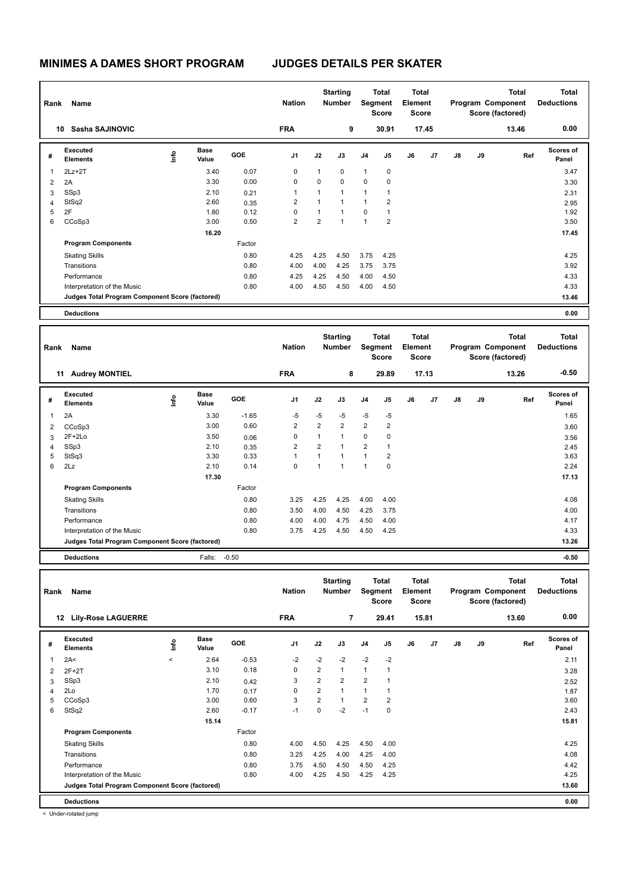| Rank | Name                                            |      | <b>Nation</b>        |            | <b>Starting</b><br>Number |                | <b>Total</b><br>Segment<br><b>Score</b> | <b>Total</b><br>Element<br>Score |                |    |       | <b>Total</b><br>Program Component<br>Score (factored) | Total<br><b>Deductions</b> |       |                    |
|------|-------------------------------------------------|------|----------------------|------------|---------------------------|----------------|-----------------------------------------|----------------------------------|----------------|----|-------|-------------------------------------------------------|----------------------------|-------|--------------------|
|      | Sasha SAJINOVIC<br>10                           |      |                      |            | <b>FRA</b>                |                | 9                                       |                                  | 30.91          |    | 17.45 |                                                       |                            | 13.46 | 0.00               |
| #    | Executed<br><b>Elements</b>                     | lnfo | <b>Base</b><br>Value | <b>GOE</b> | J <sub>1</sub>            | J2             | J3                                      | J <sub>4</sub>                   | J5             | J6 | J7    | J8                                                    | J9                         | Ref   | Scores of<br>Panel |
| 1    | $2Lz+2T$                                        |      | 3.40                 | 0.07       | 0                         | 1              | $\mathbf 0$                             | $\mathbf{1}$                     | 0              |    |       |                                                       |                            |       | 3.47               |
| 2    | 2A                                              |      | 3.30                 | 0.00       | 0                         | $\Omega$       | $\mathbf 0$                             | $\mathbf 0$                      | $\mathbf 0$    |    |       |                                                       |                            |       | 3.30               |
| 3    | SSp3                                            |      | 2.10                 | 0.21       | 1                         | 1              | 1                                       | $\mathbf{1}$                     | 1              |    |       |                                                       |                            |       | 2.31               |
| 4    | StSq2                                           |      | 2.60                 | 0.35       | 2                         | $\mathbf{1}$   |                                         | $\mathbf{1}$                     | $\overline{2}$ |    |       |                                                       |                            |       | 2.95               |
| 5    | 2F                                              |      | 1.80                 | 0.12       | 0                         | 1              | 1                                       | $\mathbf 0$                      | 1              |    |       |                                                       |                            |       | 1.92               |
| 6    | CCoSp3                                          |      | 3.00                 | 0.50       | 2                         | $\overline{2}$ | 1                                       | $\mathbf{1}$                     | $\overline{2}$ |    |       |                                                       |                            |       | 3.50               |
|      |                                                 |      | 16.20                |            |                           |                |                                         |                                  |                |    |       |                                                       |                            |       | 17.45              |
|      | <b>Program Components</b>                       |      |                      | Factor     |                           |                |                                         |                                  |                |    |       |                                                       |                            |       |                    |
|      | <b>Skating Skills</b>                           |      |                      | 0.80       | 4.25                      | 4.25           | 4.50                                    | 3.75                             | 4.25           |    |       |                                                       |                            |       | 4.25               |
|      | Transitions                                     |      |                      | 0.80       | 4.00                      | 4.00           | 4.25                                    | 3.75                             | 3.75           |    |       |                                                       |                            |       | 3.92               |
|      | Performance                                     |      |                      | 0.80       | 4.25                      | 4.25           | 4.50                                    | 4.00                             | 4.50           |    |       |                                                       |                            |       | 4.33               |
|      | Interpretation of the Music                     |      |                      | 0.80       | 4.00                      | 4.50           | 4.50                                    | 4.00                             | 4.50           |    |       |                                                       |                            |       | 4.33               |
|      | Judges Total Program Component Score (factored) |      |                      |            |                           |                |                                         |                                  |                |    |       |                                                       |                            |       | 13.46              |
|      | <b>Deductions</b>                               |      |                      |            |                           |                |                                         |                                  |                |    |       |                                                       |                            |       | 0.00               |

| Rank | Name                                            |      | <b>Nation</b>        |            | <b>Starting</b><br><b>Number</b> | Segment        | <b>Total</b><br><b>Score</b> | <b>Total</b><br>Element<br>Score |                |    |                | <b>Total</b><br>Program Component<br>Score (factored) | <b>Total</b><br><b>Deductions</b> |       |                           |
|------|-------------------------------------------------|------|----------------------|------------|----------------------------------|----------------|------------------------------|----------------------------------|----------------|----|----------------|-------------------------------------------------------|-----------------------------------|-------|---------------------------|
|      | <b>Audrey MONTIEL</b><br>11                     |      |                      |            | <b>FRA</b>                       |                | 8                            |                                  | 29.89          |    | 17.13          |                                                       |                                   | 13.26 | $-0.50$                   |
| #    | Executed<br><b>Elements</b>                     | lnfo | <b>Base</b><br>Value | <b>GOE</b> | J <sub>1</sub>                   | J2             | J3                           | J <sub>4</sub>                   | J5             | J6 | J <sub>7</sub> | J8                                                    | J9                                | Ref   | <b>Scores of</b><br>Panel |
| 1    | 2A                                              |      | 3.30                 | $-1.65$    | $-5$                             | $-5$           | $-5$                         | $-5$                             | $-5$           |    |                |                                                       |                                   |       | 1.65                      |
| 2    | CCoSp3                                          |      | 3.00                 | 0.60       | $\overline{2}$                   | $\overline{2}$ | $\overline{2}$               | $\overline{2}$                   | $\overline{2}$ |    |                |                                                       |                                   |       | 3.60                      |
| 3    | $2F+2Lo$                                        |      | 3.50                 | 0.06       | 0                                | 1              |                              | 0                                | $\mathbf 0$    |    |                |                                                       |                                   |       | 3.56                      |
| 4    | SSp3                                            |      | 2.10                 | 0.35       | 2                                | $\overline{2}$ |                              | $\overline{2}$                   | $\overline{1}$ |    |                |                                                       |                                   |       | 2.45                      |
| 5    | StSq3                                           |      | 3.30                 | 0.33       | 1                                | $\mathbf{1}$   | $\overline{ }$               | $\mathbf{1}$                     | $\overline{2}$ |    |                |                                                       |                                   |       | 3.63                      |
| 6    | 2Lz                                             |      | 2.10                 | 0.14       | 0                                | 1              |                              | $\mathbf{1}$                     | $\mathbf 0$    |    |                |                                                       |                                   |       | 2.24                      |
|      |                                                 |      | 17.30                |            |                                  |                |                              |                                  |                |    |                |                                                       |                                   |       | 17.13                     |
|      | <b>Program Components</b>                       |      |                      | Factor     |                                  |                |                              |                                  |                |    |                |                                                       |                                   |       |                           |
|      | <b>Skating Skills</b>                           |      |                      | 0.80       | 3.25                             | 4.25           | 4.25                         | 4.00                             | 4.00           |    |                |                                                       |                                   |       | 4.08                      |
|      | Transitions                                     |      |                      | 0.80       | 3.50                             | 4.00           | 4.50                         | 4.25                             | 3.75           |    |                |                                                       |                                   |       | 4.00                      |
|      | Performance                                     |      |                      | 0.80       | 4.00                             | 4.00           | 4.75                         | 4.50                             | 4.00           |    |                |                                                       |                                   |       | 4.17                      |
|      | Interpretation of the Music                     |      |                      | 0.80       | 3.75                             | 4.25           | 4.50                         | 4.50                             | 4.25           |    |                |                                                       |                                   |       | 4.33                      |
|      | Judges Total Program Component Score (factored) |      |                      |            |                                  |                |                              |                                  |                |    |                |                                                       |                                   |       | 13.26                     |
|      | <b>Deductions</b>                               |      | Falls:               | $-0.50$    |                                  |                |                              |                                  |                |    |                |                                                       |                                   |       | $-0.50$                   |

| Rank | Name<br>12                                      |         |                      |            | <b>Nation</b> |                | <b>Starting</b><br><b>Number</b> | Segment        | <b>Total</b><br><b>Score</b> | <b>Total</b><br>Element<br><b>Score</b> |       |               |    | <b>Total</b><br>Program Component<br>Score (factored) | <b>Total</b><br><b>Deductions</b> |
|------|-------------------------------------------------|---------|----------------------|------------|---------------|----------------|----------------------------------|----------------|------------------------------|-----------------------------------------|-------|---------------|----|-------------------------------------------------------|-----------------------------------|
|      | <b>Lily-Rose LAGUERRE</b>                       |         |                      |            | <b>FRA</b>    |                | $\overline{7}$                   |                | 29.41                        |                                         | 15.81 |               |    | 13.60                                                 | 0.00                              |
| #    | Executed<br><b>Elements</b>                     | lnfo    | <b>Base</b><br>Value | <b>GOE</b> | J1            | J2             | J3                               | J <sub>4</sub> | J <sub>5</sub>               | J6                                      | J7    | $\mathsf{J}8$ | J9 | Ref                                                   | <b>Scores of</b><br>Panel         |
| 1    | 2A<                                             | $\prec$ | 2.64                 | $-0.53$    | $-2$          | $-2$           | $-2$                             | $-2$           | $-2$                         |                                         |       |               |    |                                                       | 2.11                              |
| 2    | $2F+2T$                                         |         | 3.10                 | 0.18       | 0             | $\overline{2}$ | $\mathbf{1}$                     | $\mathbf{1}$   | $\mathbf{1}$                 |                                         |       |               |    |                                                       | 3.28                              |
| 3    | SSp3                                            |         | 2.10                 | 0.42       | 3             | $\overline{2}$ | $\overline{2}$                   | $\overline{2}$ | $\overline{1}$               |                                         |       |               |    |                                                       | 2.52                              |
| 4    | 2Lo                                             |         | 1.70                 | 0.17       | $\Omega$      | $\overline{2}$ | $\mathbf{1}$                     | $\overline{1}$ | -1                           |                                         |       |               |    |                                                       | 1.87                              |
| 5    | CCoSp3                                          |         | 3.00                 | 0.60       | 3             | $\overline{2}$ | $\mathbf{1}$                     | $\overline{2}$ | $\overline{2}$               |                                         |       |               |    |                                                       | 3.60                              |
| 6    | StSq2                                           |         | 2.60                 | $-0.17$    | $-1$          | $\mathbf 0$    | $-2$                             | $-1$           | 0                            |                                         |       |               |    |                                                       | 2.43                              |
|      |                                                 |         | 15.14                |            |               |                |                                  |                |                              |                                         |       |               |    |                                                       | 15.81                             |
|      | <b>Program Components</b>                       |         |                      | Factor     |               |                |                                  |                |                              |                                         |       |               |    |                                                       |                                   |
|      | <b>Skating Skills</b>                           |         |                      | 0.80       | 4.00          | 4.50           | 4.25                             | 4.50           | 4.00                         |                                         |       |               |    |                                                       | 4.25                              |
|      | Transitions                                     |         |                      | 0.80       | 3.25          | 4.25           | 4.00                             | 4.25           | 4.00                         |                                         |       |               |    |                                                       | 4.08                              |
|      | Performance                                     |         |                      | 0.80       | 3.75          | 4.50           | 4.50                             | 4.50           | 4.25                         |                                         |       |               |    |                                                       | 4.42                              |
|      | Interpretation of the Music                     |         |                      | 0.80       | 4.00          | 4.25           | 4.50                             | 4.25           | 4.25                         |                                         |       |               |    |                                                       | 4.25                              |
|      | Judges Total Program Component Score (factored) |         |                      |            |               |                |                                  |                |                              |                                         |       |               |    |                                                       | 13.60                             |
|      | <b>Deductions</b>                               |         |                      |            |               |                |                                  |                |                              |                                         |       |               |    |                                                       | 0.00                              |

< Under-rotated jump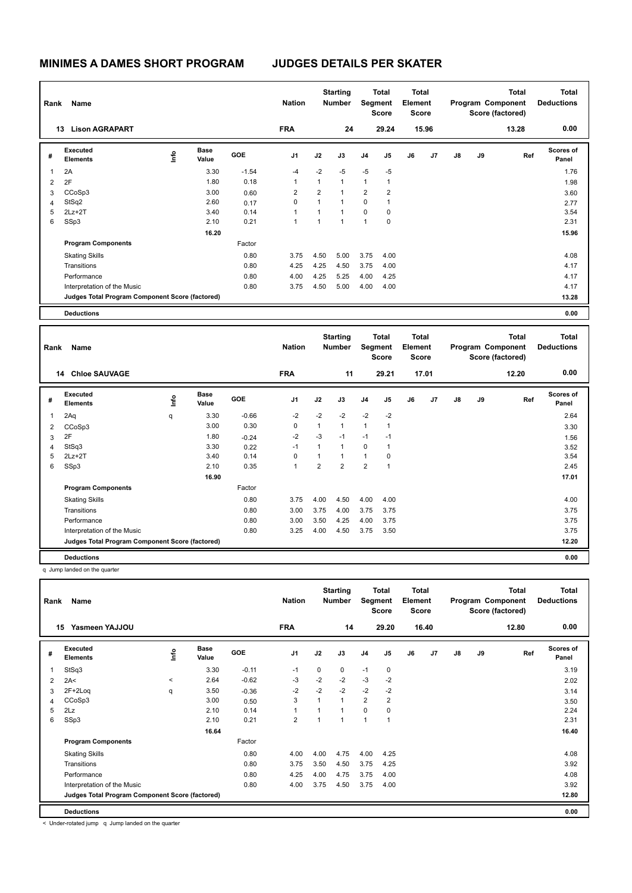| Rank | Name                                            |    |                      |            | <b>Nation</b>  |                | <b>Starting</b><br><b>Number</b> |                | Total<br>Segment<br><b>Score</b> | <b>Total</b><br>Element<br><b>Score</b> |       |    |    | <b>Total</b><br>Program Component<br>Score (factored) | <b>Total</b><br><b>Deductions</b> |
|------|-------------------------------------------------|----|----------------------|------------|----------------|----------------|----------------------------------|----------------|----------------------------------|-----------------------------------------|-------|----|----|-------------------------------------------------------|-----------------------------------|
|      | <b>Lison AGRAPART</b><br>13                     |    |                      |            | <b>FRA</b>     |                | 24                               |                | 29.24                            |                                         | 15.96 |    |    | 13.28                                                 | 0.00                              |
| #    | Executed<br><b>Elements</b>                     | ١m | <b>Base</b><br>Value | <b>GOE</b> | J <sub>1</sub> | J2             | J3                               | J <sub>4</sub> | J5                               | J6                                      | J7    | J8 | J9 | Ref                                                   | <b>Scores of</b><br>Panel         |
| 1    | 2A                                              |    | 3.30                 | $-1.54$    | $-4$           | $-2$           | $-5$                             | $-5$           | $-5$                             |                                         |       |    |    |                                                       | 1.76                              |
| 2    | 2F                                              |    | 1.80                 | 0.18       | 1              | 1              | $\overline{1}$                   | $\mathbf{1}$   | 1                                |                                         |       |    |    |                                                       | 1.98                              |
| 3    | CCoSp3                                          |    | 3.00                 | 0.60       | 2              | $\overline{2}$ |                                  | $\overline{2}$ | $\overline{2}$                   |                                         |       |    |    |                                                       | 3.60                              |
| 4    | StSq2                                           |    | 2.60                 | 0.17       | 0              | 1              | 1                                | 0              | 1                                |                                         |       |    |    |                                                       | 2.77                              |
| 5    | $2Lz+2T$                                        |    | 3.40                 | 0.14       | 1              | $\mathbf{1}$   | 1                                | $\mathbf 0$    | 0                                |                                         |       |    |    |                                                       | 3.54                              |
| 6    | SSp3                                            |    | 2.10                 | 0.21       | 1              | $\overline{1}$ | 1                                | $\mathbf{1}$   | $\mathbf 0$                      |                                         |       |    |    |                                                       | 2.31                              |
|      |                                                 |    | 16.20                |            |                |                |                                  |                |                                  |                                         |       |    |    |                                                       | 15.96                             |
|      | <b>Program Components</b>                       |    |                      | Factor     |                |                |                                  |                |                                  |                                         |       |    |    |                                                       |                                   |
|      | <b>Skating Skills</b>                           |    |                      | 0.80       | 3.75           | 4.50           | 5.00                             | 3.75           | 4.00                             |                                         |       |    |    |                                                       | 4.08                              |
|      | Transitions                                     |    |                      | 0.80       | 4.25           | 4.25           | 4.50                             | 3.75           | 4.00                             |                                         |       |    |    |                                                       | 4.17                              |
|      | Performance                                     |    |                      | 0.80       | 4.00           | 4.25           | 5.25                             | 4.00           | 4.25                             |                                         |       |    |    |                                                       | 4.17                              |
|      | Interpretation of the Music                     |    |                      | 0.80       | 3.75           | 4.50           | 5.00                             | 4.00           | 4.00                             |                                         |       |    |    |                                                       | 4.17                              |
|      | Judges Total Program Component Score (factored) |    |                      |            |                |                |                                  |                |                                  |                                         |       |    |    |                                                       | 13.28                             |
|      | <b>Deductions</b>                               |    |                      |            |                |                |                                  |                |                                  |                                         |       |    |    |                                                       | 0.00                              |

| Rank           | Name<br>14                                      |      |                      |         | <b>Nation</b>  |                | <b>Starting</b><br><b>Number</b> |                | <b>Total</b><br>Segment<br><b>Score</b> | <b>Total</b><br>Element<br><b>Score</b> |                |               |    | <b>Total</b><br>Program Component<br>Score (factored) | <b>Total</b><br><b>Deductions</b> |
|----------------|-------------------------------------------------|------|----------------------|---------|----------------|----------------|----------------------------------|----------------|-----------------------------------------|-----------------------------------------|----------------|---------------|----|-------------------------------------------------------|-----------------------------------|
|                | <b>Chloe SAUVAGE</b>                            |      |                      |         | <b>FRA</b>     |                | 11                               |                | 29.21                                   |                                         | 17.01          |               |    | 12.20                                                 | 0.00                              |
| #              | Executed<br><b>Elements</b>                     | ١nfo | <b>Base</b><br>Value | GOE     | J <sub>1</sub> | J2             | J3                               | J <sub>4</sub> | J5                                      | J6                                      | J <sub>7</sub> | $\mathsf{J}8$ | J9 | Ref                                                   | Scores of<br>Panel                |
| 1              | 2Aq                                             | q    | 3.30                 | $-0.66$ | $-2$           | $-2$           | $-2$                             | $-2$           | $-2$                                    |                                         |                |               |    |                                                       | 2.64                              |
| 2              | CCoSp3                                          |      | 3.00                 | 0.30    | 0              | $\mathbf{1}$   | $\mathbf{1}$                     | $\mathbf{1}$   | $\overline{1}$                          |                                         |                |               |    |                                                       | 3.30                              |
| 3              | 2F                                              |      | 1.80                 | $-0.24$ | $-2$           | $-3$           | $-1$                             | $-1$           | $-1$                                    |                                         |                |               |    |                                                       | 1.56                              |
| $\overline{4}$ | StSq3                                           |      | 3.30                 | 0.22    | $-1$           | 1              | $\mathbf{1}$                     | 0              | $\overline{1}$                          |                                         |                |               |    |                                                       | 3.52                              |
| 5              | $2Lz + 2T$                                      |      | 3.40                 | 0.14    | $\Omega$       | $\mathbf{1}$   | 1                                | $\mathbf{1}$   | $\mathbf 0$                             |                                         |                |               |    |                                                       | 3.54                              |
| 6              | SSp3                                            |      | 2.10                 | 0.35    | 1              | $\overline{2}$ | $\overline{2}$                   | $\overline{2}$ | $\overline{1}$                          |                                         |                |               |    |                                                       | 2.45                              |
|                |                                                 |      | 16.90                |         |                |                |                                  |                |                                         |                                         |                |               |    |                                                       | 17.01                             |
|                | <b>Program Components</b>                       |      |                      | Factor  |                |                |                                  |                |                                         |                                         |                |               |    |                                                       |                                   |
|                | <b>Skating Skills</b>                           |      |                      | 0.80    | 3.75           | 4.00           | 4.50                             | 4.00           | 4.00                                    |                                         |                |               |    |                                                       | 4.00                              |
|                | Transitions                                     |      |                      | 0.80    | 3.00           | 3.75           | 4.00                             | 3.75           | 3.75                                    |                                         |                |               |    |                                                       | 3.75                              |
|                | Performance                                     |      |                      | 0.80    | 3.00           | 3.50           | 4.25                             | 4.00           | 3.75                                    |                                         |                |               |    |                                                       | 3.75                              |
|                | Interpretation of the Music                     |      |                      | 0.80    | 3.25           | 4.00           | 4.50                             | 3.75           | 3.50                                    |                                         |                |               |    |                                                       | 3.75                              |
|                | Judges Total Program Component Score (factored) |      |                      |         |                |                |                                  |                |                                         |                                         |                |               |    |                                                       | 12.20                             |
|                | <b>Deductions</b>                               |      |                      |         |                |                |                                  |                |                                         |                                         |                |               |    |                                                       | 0.00                              |

q Jump landed on the quarter

| Rank | Name                                            |         |                      |            | <b>Nation</b>  |             | <b>Starting</b><br><b>Number</b> | Segment        | Total<br><b>Score</b> | <b>Total</b><br>Element<br><b>Score</b> |                |    |    | <b>Total</b><br>Program Component<br>Score (factored) | <b>Total</b><br><b>Deductions</b> |
|------|-------------------------------------------------|---------|----------------------|------------|----------------|-------------|----------------------------------|----------------|-----------------------|-----------------------------------------|----------------|----|----|-------------------------------------------------------|-----------------------------------|
| 15   | Yasmeen YAJJOU                                  |         |                      |            | <b>FRA</b>     |             | 14                               |                | 29.20                 |                                         | 16.40          |    |    | 12.80                                                 | 0.00                              |
| #    | Executed<br><b>Elements</b>                     | lnfo    | <b>Base</b><br>Value | <b>GOE</b> | J <sub>1</sub> | J2          | J3                               | J <sub>4</sub> | J <sub>5</sub>        | J6                                      | J <sub>7</sub> | J8 | J9 | Ref                                                   | <b>Scores of</b><br>Panel         |
|      | StSq3                                           |         | 3.30                 | $-0.11$    | $-1$           | $\mathbf 0$ | 0                                | $-1$           | $\mathbf 0$           |                                         |                |    |    |                                                       | 3.19                              |
| 2    | 2A<                                             | $\,<\,$ | 2.64                 | $-0.62$    | -3             | $-2$        | $-2$                             | $-3$           | $-2$                  |                                         |                |    |    |                                                       | 2.02                              |
| 3    | $2F+2Log$                                       | q       | 3.50                 | $-0.36$    | $-2$           | $-2$        | $-2$                             | $-2$           | $-2$                  |                                         |                |    |    |                                                       | 3.14                              |
| 4    | CCoSp3                                          |         | 3.00                 | 0.50       | 3              |             | $\mathbf{1}$                     | $\overline{2}$ | $\overline{2}$        |                                         |                |    |    |                                                       | 3.50                              |
| 5    | 2Lz                                             |         | 2.10                 | 0.14       | $\overline{1}$ |             | $\mathbf{1}$                     | 0              | 0                     |                                         |                |    |    |                                                       | 2.24                              |
| 6    | SSp3                                            |         | 2.10                 | 0.21       | $\overline{2}$ |             | $\mathbf{1}$                     | $\mathbf{1}$   | $\overline{1}$        |                                         |                |    |    |                                                       | 2.31                              |
|      |                                                 |         | 16.64                |            |                |             |                                  |                |                       |                                         |                |    |    |                                                       | 16.40                             |
|      | <b>Program Components</b>                       |         |                      | Factor     |                |             |                                  |                |                       |                                         |                |    |    |                                                       |                                   |
|      | <b>Skating Skills</b>                           |         |                      | 0.80       | 4.00           | 4.00        | 4.75                             | 4.00           | 4.25                  |                                         |                |    |    |                                                       | 4.08                              |
|      | Transitions                                     |         |                      | 0.80       | 3.75           | 3.50        | 4.50                             | 3.75           | 4.25                  |                                         |                |    |    |                                                       | 3.92                              |
|      | Performance                                     |         |                      | 0.80       | 4.25           | 4.00        | 4.75                             | 3.75           | 4.00                  |                                         |                |    |    |                                                       | 4.08                              |
|      | Interpretation of the Music                     |         |                      | 0.80       | 4.00           | 3.75        | 4.50                             | 3.75           | 4.00                  |                                         |                |    |    |                                                       | 3.92                              |
|      | Judges Total Program Component Score (factored) |         |                      |            |                |             |                                  |                |                       |                                         |                |    |    |                                                       | 12.80                             |
|      | <b>Deductions</b>                               |         |                      |            |                |             |                                  |                |                       |                                         |                |    |    |                                                       | 0.00                              |

< Under-rotated jump q Jump landed on the quarter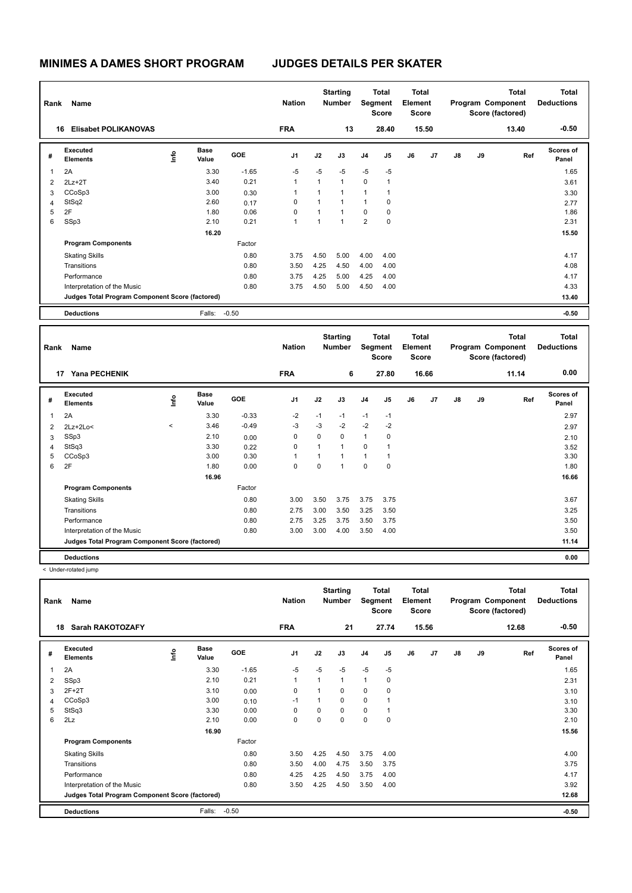| Rank | Name<br>16                                      |      |                      |            | <b>Nation</b>  |              | <b>Starting</b><br><b>Number</b> | Segment        | <b>Total</b><br><b>Score</b> | <b>Total</b><br>Element<br><b>Score</b> |       |               |    | <b>Total</b><br>Program Component<br>Score (factored) | <b>Total</b><br><b>Deductions</b> |
|------|-------------------------------------------------|------|----------------------|------------|----------------|--------------|----------------------------------|----------------|------------------------------|-----------------------------------------|-------|---------------|----|-------------------------------------------------------|-----------------------------------|
|      | <b>Elisabet POLIKANOVAS</b>                     |      |                      |            | <b>FRA</b>     |              | 13                               |                | 28.40                        |                                         | 15.50 |               |    | 13.40                                                 | $-0.50$                           |
| #    | Executed<br><b>Elements</b>                     | lnfo | <b>Base</b><br>Value | <b>GOE</b> | J <sub>1</sub> | J2           | J3                               | J <sub>4</sub> | J <sub>5</sub>               | J6                                      | J7    | $\mathsf{J}8$ | J9 | Ref                                                   | Scores of<br>Panel                |
| 1    | 2A                                              |      | 3.30                 | $-1.65$    | $-5$           | $-5$         | $-5$                             | $-5$           | $-5$                         |                                         |       |               |    |                                                       | 1.65                              |
| 2    | $2Lz+2T$                                        |      | 3.40                 | 0.21       | $\mathbf{1}$   | $\mathbf{1}$ | $\mathbf{1}$                     | $\mathbf 0$    | 1                            |                                         |       |               |    |                                                       | 3.61                              |
| 3    | CCoSp3                                          |      | 3.00                 | 0.30       | 1              |              | $\mathbf 1$                      |                | 1                            |                                         |       |               |    |                                                       | 3.30                              |
| 4    | StSq2                                           |      | 2.60                 | 0.17       | $\Omega$       | 1            | $\mathbf 1$                      | 1              | 0                            |                                         |       |               |    |                                                       | 2.77                              |
| 5    | 2F                                              |      | 1.80                 | 0.06       | 0              |              | $\overline{1}$                   | $\Omega$       | 0                            |                                         |       |               |    |                                                       | 1.86                              |
| 6    | SSp3                                            |      | 2.10                 | 0.21       | $\mathbf{1}$   |              | $\overline{4}$                   | 2              | 0                            |                                         |       |               |    |                                                       | 2.31                              |
|      |                                                 |      | 16.20                |            |                |              |                                  |                |                              |                                         |       |               |    |                                                       | 15.50                             |
|      | <b>Program Components</b>                       |      |                      | Factor     |                |              |                                  |                |                              |                                         |       |               |    |                                                       |                                   |
|      | <b>Skating Skills</b>                           |      |                      | 0.80       | 3.75           | 4.50         | 5.00                             | 4.00           | 4.00                         |                                         |       |               |    |                                                       | 4.17                              |
|      | Transitions                                     |      |                      | 0.80       | 3.50           | 4.25         | 4.50                             | 4.00           | 4.00                         |                                         |       |               |    |                                                       | 4.08                              |
|      | Performance                                     |      |                      | 0.80       | 3.75           | 4.25         | 5.00                             | 4.25           | 4.00                         |                                         |       |               |    |                                                       | 4.17                              |
|      | Interpretation of the Music                     |      |                      | 0.80       | 3.75           | 4.50         | 5.00                             | 4.50           | 4.00                         |                                         |       |               |    |                                                       | 4.33                              |
|      | Judges Total Program Component Score (factored) |      |                      |            |                |              |                                  |                |                              |                                         |       |               |    |                                                       | 13.40                             |
|      | <b>Deductions</b>                               |      | Falls:               | $-0.50$    |                |              |                                  |                |                              |                                         |       |               |    |                                                       | $-0.50$                           |

| Rank | Name                                            |         |                      |         | <b>Nation</b>  |      | <b>Starting</b><br><b>Number</b> |                | Total<br>Segment<br><b>Score</b> | <b>Total</b><br>Element<br>Score |       |    |    | <b>Total</b><br>Program Component<br>Score (factored) | <b>Total</b><br><b>Deductions</b> |
|------|-------------------------------------------------|---------|----------------------|---------|----------------|------|----------------------------------|----------------|----------------------------------|----------------------------------|-------|----|----|-------------------------------------------------------|-----------------------------------|
|      | <b>Yana PECHENIK</b><br>17                      |         |                      |         | <b>FRA</b>     |      | 6                                |                | 27.80                            |                                  | 16.66 |    |    | 11.14                                                 | 0.00                              |
| #    | Executed<br><b>Elements</b>                     | ١nfo    | <b>Base</b><br>Value | GOE     | J <sub>1</sub> | J2   | J3                               | J <sub>4</sub> | J5                               | J6                               | J7    | J8 | J9 | Ref                                                   | <b>Scores of</b><br>Panel         |
| 1    | 2A                                              |         | 3.30                 | $-0.33$ | $-2$           | $-1$ | $-1$                             | $-1$           | $-1$                             |                                  |       |    |    |                                                       | 2.97                              |
| 2    | $2Lz+2Lo<$                                      | $\prec$ | 3.46                 | $-0.49$ | $-3$           | $-3$ | $-2$                             | $-2$           | $-2$                             |                                  |       |    |    |                                                       | 2.97                              |
| 3    | SSp3                                            |         | 2.10                 | 0.00    | 0              | 0    | 0                                | $\mathbf{1}$   | 0                                |                                  |       |    |    |                                                       | 2.10                              |
| 4    | StSq3                                           |         | 3.30                 | 0.22    | 0              | 1    | $\mathbf{1}$                     | 0              | 1                                |                                  |       |    |    |                                                       | 3.52                              |
| 5    | CCoSp3                                          |         | 3.00                 | 0.30    |                | 1    | 1                                | $\mathbf{1}$   | 1                                |                                  |       |    |    |                                                       | 3.30                              |
| 6    | 2F                                              |         | 1.80                 | 0.00    | 0              | 0    | 1                                | $\mathbf 0$    | 0                                |                                  |       |    |    |                                                       | 1.80                              |
|      |                                                 |         | 16.96                |         |                |      |                                  |                |                                  |                                  |       |    |    |                                                       | 16.66                             |
|      | <b>Program Components</b>                       |         |                      | Factor  |                |      |                                  |                |                                  |                                  |       |    |    |                                                       |                                   |
|      | <b>Skating Skills</b>                           |         |                      | 0.80    | 3.00           | 3.50 | 3.75                             | 3.75           | 3.75                             |                                  |       |    |    |                                                       | 3.67                              |
|      | Transitions                                     |         |                      | 0.80    | 2.75           | 3.00 | 3.50                             | 3.25           | 3.50                             |                                  |       |    |    |                                                       | 3.25                              |
|      | Performance                                     |         |                      | 0.80    | 2.75           | 3.25 | 3.75                             | 3.50           | 3.75                             |                                  |       |    |    |                                                       | 3.50                              |
|      | Interpretation of the Music                     |         |                      | 0.80    | 3.00           | 3.00 | 4.00                             | 3.50           | 4.00                             |                                  |       |    |    |                                                       | 3.50                              |
|      | Judges Total Program Component Score (factored) |         |                      |         |                |      |                                  |                |                                  |                                  |       |    |    |                                                       | 11.14                             |
|      | <b>Deductions</b>                               |         |                      |         |                |      |                                  |                |                                  |                                  |       |    |    |                                                       | 0.00                              |

< Under-rotated jump

| Rank | Name                                            |      |                      |            | <b>Nation</b>  |          | <b>Starting</b><br><b>Number</b> | Segment        | <b>Total</b><br><b>Score</b> | <b>Total</b><br>Element<br><b>Score</b> |       |    |    | <b>Total</b><br>Program Component<br>Score (factored) | <b>Total</b><br><b>Deductions</b> |
|------|-------------------------------------------------|------|----------------------|------------|----------------|----------|----------------------------------|----------------|------------------------------|-----------------------------------------|-------|----|----|-------------------------------------------------------|-----------------------------------|
|      | <b>Sarah RAKOTOZAFY</b><br>18                   |      |                      |            | <b>FRA</b>     |          | 21                               |                | 27.74                        |                                         | 15.56 |    |    | 12.68                                                 | $-0.50$                           |
| #    | Executed<br><b>Elements</b>                     | ١mfo | <b>Base</b><br>Value | <b>GOE</b> | J <sub>1</sub> | J2       | J3                               | J <sub>4</sub> | J <sub>5</sub>               | J6                                      | J7    | J8 | J9 | Ref                                                   | <b>Scores of</b><br>Panel         |
| 1    | 2A                                              |      | 3.30                 | $-1.65$    | $-5$           | $-5$     | $-5$                             | $-5$           | $-5$                         |                                         |       |    |    |                                                       | 1.65                              |
| 2    | SSp3                                            |      | 2.10                 | 0.21       | $\overline{1}$ | 1        | 1                                | $\mathbf{1}$   | 0                            |                                         |       |    |    |                                                       | 2.31                              |
| 3    | $2F+2T$                                         |      | 3.10                 | 0.00       | $\mathbf 0$    |          | $\Omega$                         | 0              | 0                            |                                         |       |    |    |                                                       | 3.10                              |
| 4    | CCoSp3                                          |      | 3.00                 | 0.10       | $-1$           | 1        | 0                                | $\mathbf 0$    |                              |                                         |       |    |    |                                                       | 3.10                              |
| 5    | StSq3                                           |      | 3.30                 | 0.00       | 0              | $\Omega$ | $\Omega$                         | $\mathbf 0$    |                              |                                         |       |    |    |                                                       | 3.30                              |
| 6    | 2Lz                                             |      | 2.10                 | 0.00       | 0              | 0        | 0                                | $\pmb{0}$      | 0                            |                                         |       |    |    |                                                       | 2.10                              |
|      |                                                 |      | 16.90                |            |                |          |                                  |                |                              |                                         |       |    |    |                                                       | 15.56                             |
|      | <b>Program Components</b>                       |      |                      | Factor     |                |          |                                  |                |                              |                                         |       |    |    |                                                       |                                   |
|      | <b>Skating Skills</b>                           |      |                      | 0.80       | 3.50           | 4.25     | 4.50                             | 3.75           | 4.00                         |                                         |       |    |    |                                                       | 4.00                              |
|      | Transitions                                     |      |                      | 0.80       | 3.50           | 4.00     | 4.75                             | 3.50           | 3.75                         |                                         |       |    |    |                                                       | 3.75                              |
|      | Performance                                     |      |                      | 0.80       | 4.25           | 4.25     | 4.50                             | 3.75           | 4.00                         |                                         |       |    |    |                                                       | 4.17                              |
|      | Interpretation of the Music                     |      |                      | 0.80       | 3.50           | 4.25     | 4.50                             | 3.50           | 4.00                         |                                         |       |    |    |                                                       | 3.92                              |
|      | Judges Total Program Component Score (factored) |      |                      |            |                |          |                                  |                |                              |                                         |       |    |    |                                                       | 12.68                             |
|      | <b>Deductions</b>                               |      | Falls:               | $-0.50$    |                |          |                                  |                |                              |                                         |       |    |    |                                                       | $-0.50$                           |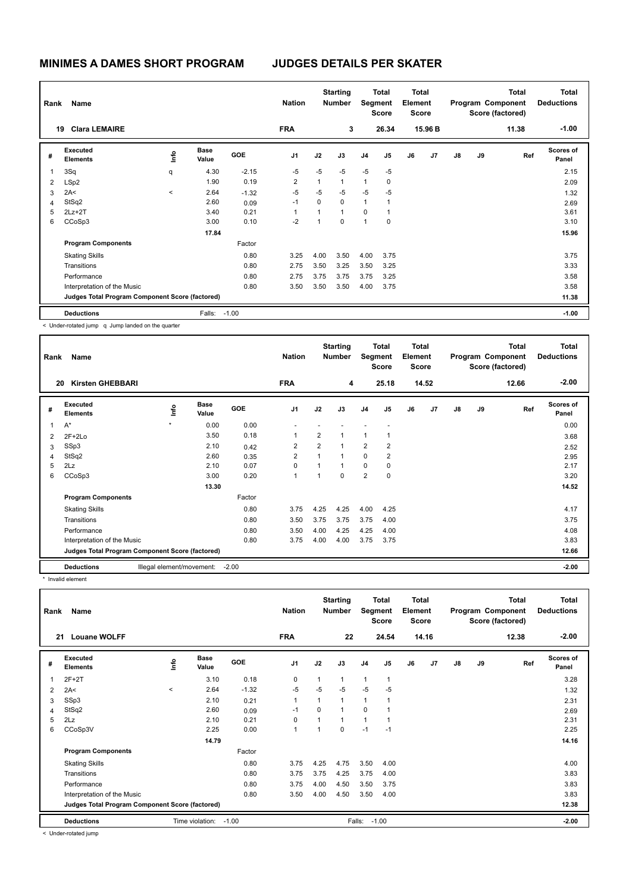| Rank | Name<br><b>Clara LEMAIRE</b><br>19              |         |                      |            | <b>Nation</b>  |                | <b>Starting</b><br><b>Number</b> | Segment        | <b>Total</b><br><b>Score</b> | <b>Total</b><br>Element<br>Score |                |    |    | <b>Total</b><br>Program Component<br>Score (factored) | <b>Total</b><br><b>Deductions</b> |
|------|-------------------------------------------------|---------|----------------------|------------|----------------|----------------|----------------------------------|----------------|------------------------------|----------------------------------|----------------|----|----|-------------------------------------------------------|-----------------------------------|
|      |                                                 |         |                      |            | <b>FRA</b>     |                | 3                                |                | 26.34                        |                                  | 15.96 B        |    |    | 11.38                                                 | $-1.00$                           |
| #    | <b>Executed</b><br><b>Elements</b>              | ١mfo    | <b>Base</b><br>Value | <b>GOE</b> | J <sub>1</sub> | J2             | J3                               | J <sub>4</sub> | J <sub>5</sub>               | J6                               | J <sub>7</sub> | J8 | J9 | Ref                                                   | <b>Scores of</b><br>Panel         |
| 1    | 3Sq                                             | q       | 4.30                 | $-2.15$    | $-5$           | $-5$           | -5                               | $-5$           | $-5$                         |                                  |                |    |    |                                                       | 2.15                              |
| 2    | LSp2                                            |         | 1.90                 | 0.19       | $\overline{2}$ | $\mathbf{1}$   | $\mathbf{1}$                     | 1              | 0                            |                                  |                |    |    |                                                       | 2.09                              |
| 3    | 2A<                                             | $\,<\,$ | 2.64                 | $-1.32$    | $-5$           | $-5$           | -5                               | $-5$           | $-5$                         |                                  |                |    |    |                                                       | 1.32                              |
| 4    | StSq2                                           |         | 2.60                 | 0.09       | $-1$           | $\Omega$       | $\Omega$                         | 1              | 1                            |                                  |                |    |    |                                                       | 2.69                              |
| 5    | $2Lz+2T$                                        |         | 3.40                 | 0.21       |                | $\overline{1}$ | $\mathbf{1}$                     | $\Omega$       | 1                            |                                  |                |    |    |                                                       | 3.61                              |
| 6    | CCoSp3                                          |         | 3.00                 | 0.10       | $-2$           | 1              | $\mathbf 0$                      | $\overline{ }$ | $\mathbf 0$                  |                                  |                |    |    |                                                       | 3.10                              |
|      |                                                 |         | 17.84                |            |                |                |                                  |                |                              |                                  |                |    |    |                                                       | 15.96                             |
|      | <b>Program Components</b>                       |         |                      | Factor     |                |                |                                  |                |                              |                                  |                |    |    |                                                       |                                   |
|      | <b>Skating Skills</b>                           |         |                      | 0.80       | 3.25           | 4.00           | 3.50                             | 4.00           | 3.75                         |                                  |                |    |    |                                                       | 3.75                              |
|      | Transitions                                     |         |                      | 0.80       | 2.75           | 3.50           | 3.25                             | 3.50           | 3.25                         |                                  |                |    |    |                                                       | 3.33                              |
|      | Performance                                     |         |                      | 0.80       | 2.75           | 3.75           | 3.75                             | 3.75           | 3.25                         |                                  |                |    |    |                                                       | 3.58                              |
|      | Interpretation of the Music                     |         |                      | 0.80       | 3.50           | 3.50           | 3.50                             | 4.00           | 3.75                         |                                  |                |    |    |                                                       | 3.58                              |
|      | Judges Total Program Component Score (factored) |         |                      |            |                |                |                                  |                |                              |                                  |                |    |    |                                                       | 11.38                             |
|      | <b>Deductions</b>                               |         | Falls:               | $-1.00$    |                |                |                                  |                |                              |                                  |                |    |    |                                                       | $-1.00$                           |

< Under-rotated jump q Jump landed on the quarter

| Rank           | Name                                            |         |                           |            | <b>Nation</b>  |                | <b>Starting</b><br><b>Number</b> | Segment        | Total<br><b>Score</b> | <b>Total</b><br>Element<br>Score |       |               |    | <b>Total</b><br>Program Component<br>Score (factored) | <b>Total</b><br><b>Deductions</b> |
|----------------|-------------------------------------------------|---------|---------------------------|------------|----------------|----------------|----------------------------------|----------------|-----------------------|----------------------------------|-------|---------------|----|-------------------------------------------------------|-----------------------------------|
| 20             | <b>Kirsten GHEBBARI</b>                         |         |                           |            | <b>FRA</b>     |                | 4                                |                | 25.18                 |                                  | 14.52 |               |    | 12.66                                                 | $-2.00$                           |
| #              | Executed<br><b>Elements</b>                     | ١nf٥    | <b>Base</b><br>Value      | <b>GOE</b> | J <sub>1</sub> | J2             | J3                               | J <sub>4</sub> | J <sub>5</sub>        | J6                               | J7    | $\mathsf{J}8$ | J9 | Ref                                                   | <b>Scores of</b><br>Panel         |
| $\overline{1}$ | $A^*$                                           | $\star$ | 0.00                      | 0.00       |                |                |                                  |                |                       |                                  |       |               |    |                                                       | 0.00                              |
| 2              | $2F+2Lo$                                        |         | 3.50                      | 0.18       | 1              | $\overline{2}$ | $\mathbf{1}$                     | 1              | 1                     |                                  |       |               |    |                                                       | 3.68                              |
| 3              | SSp3                                            |         | 2.10                      | 0.42       | $\overline{2}$ | $\overline{2}$ | $\mathbf{1}$                     | $\overline{2}$ | $\overline{2}$        |                                  |       |               |    |                                                       | 2.52                              |
| $\overline{4}$ | StSq2                                           |         | 2.60                      | 0.35       | $\overline{2}$ | $\overline{1}$ | $\overline{1}$                   | $\Omega$       | $\overline{2}$        |                                  |       |               |    |                                                       | 2.95                              |
| 5              | 2Lz                                             |         | 2.10                      | 0.07       | 0              |                | $\overline{1}$                   | 0              | 0                     |                                  |       |               |    |                                                       | 2.17                              |
| 6              | CCoSp3                                          |         | 3.00                      | 0.20       | 1              | 1              | $\mathbf 0$                      | $\overline{2}$ | $\mathbf 0$           |                                  |       |               |    |                                                       | 3.20                              |
|                |                                                 |         | 13.30                     |            |                |                |                                  |                |                       |                                  |       |               |    |                                                       | 14.52                             |
|                | <b>Program Components</b>                       |         |                           | Factor     |                |                |                                  |                |                       |                                  |       |               |    |                                                       |                                   |
|                | <b>Skating Skills</b>                           |         |                           | 0.80       | 3.75           | 4.25           | 4.25                             | 4.00           | 4.25                  |                                  |       |               |    |                                                       | 4.17                              |
|                | Transitions                                     |         |                           | 0.80       | 3.50           | 3.75           | 3.75                             | 3.75           | 4.00                  |                                  |       |               |    |                                                       | 3.75                              |
|                | Performance                                     |         |                           | 0.80       | 3.50           | 4.00           | 4.25                             | 4.25           | 4.00                  |                                  |       |               |    |                                                       | 4.08                              |
|                | Interpretation of the Music                     |         |                           | 0.80       | 3.75           | 4.00           | 4.00                             | 3.75           | 3.75                  |                                  |       |               |    |                                                       | 3.83                              |
|                | Judges Total Program Component Score (factored) |         |                           |            |                |                |                                  |                |                       |                                  |       |               |    |                                                       | 12.66                             |
|                | <b>Deductions</b>                               |         | Illegal element/movement: | $-2.00$    |                |                |                                  |                |                       |                                  |       |               |    |                                                       | $-2.00$                           |

\* Invalid element

| Rank | Name<br><b>Louane WOLFF</b><br>21               |                 |                      |         |                |          | <b>Starting</b><br>Number | Segment        | <b>Total</b><br><b>Score</b> | <b>Total</b><br>Element<br><b>Score</b> |       |    |    | <b>Total</b><br>Program Component<br>Score (factored) | Total<br><b>Deductions</b> |
|------|-------------------------------------------------|-----------------|----------------------|---------|----------------|----------|---------------------------|----------------|------------------------------|-----------------------------------------|-------|----|----|-------------------------------------------------------|----------------------------|
|      |                                                 |                 |                      |         | <b>FRA</b>     |          | 22                        |                | 24.54                        |                                         | 14.16 |    |    | 12.38                                                 | $-2.00$                    |
| #    | <b>Executed</b><br><b>Elements</b>              | ١nfo            | <b>Base</b><br>Value | GOE     | J <sub>1</sub> | J2       | J3                        | J <sub>4</sub> | J5                           | J6                                      | J7    | J8 | J9 | Ref                                                   | Scores of<br>Panel         |
| 1    | $2F+2T$                                         |                 | 3.10                 | 0.18    | 0              | 1        | 1                         | $\mathbf{1}$   | 1                            |                                         |       |    |    |                                                       | 3.28                       |
| 2    | 2A<                                             | $\,<\,$         | 2.64                 | $-1.32$ | $-5$           | $-5$     | $-5$                      | $-5$           | $-5$                         |                                         |       |    |    |                                                       | 1.32                       |
| 3    | SSp3                                            |                 | 2.10                 | 0.21    | $\mathbf{1}$   | 1        | 1                         | $\mathbf{1}$   |                              |                                         |       |    |    |                                                       | 2.31                       |
| 4    | StSq2                                           |                 | 2.60                 | 0.09    | -1             | $\Omega$ | 1                         | 0              |                              |                                         |       |    |    |                                                       | 2.69                       |
| 5    | 2Lz                                             |                 | 2.10                 | 0.21    | 0              |          | 1                         | $\overline{1}$ |                              |                                         |       |    |    |                                                       | 2.31                       |
| 6    | CCoSp3V                                         |                 | 2.25                 | 0.00    | $\mathbf{1}$   | 1        | 0                         | $-1$           | $-1$                         |                                         |       |    |    |                                                       | 2.25                       |
|      |                                                 |                 | 14.79                |         |                |          |                           |                |                              |                                         |       |    |    |                                                       | 14.16                      |
|      | <b>Program Components</b>                       |                 |                      | Factor  |                |          |                           |                |                              |                                         |       |    |    |                                                       |                            |
|      | <b>Skating Skills</b>                           |                 |                      | 0.80    | 3.75           | 4.25     | 4.75                      | 3.50           | 4.00                         |                                         |       |    |    |                                                       | 4.00                       |
|      | Transitions                                     |                 |                      | 0.80    | 3.75           | 3.75     | 4.25                      | 3.75           | 4.00                         |                                         |       |    |    |                                                       | 3.83                       |
|      | Performance                                     |                 |                      | 0.80    | 3.75           | 4.00     | 4.50                      | 3.50           | 3.75                         |                                         |       |    |    |                                                       | 3.83                       |
|      | Interpretation of the Music                     |                 |                      | 0.80    | 3.50           | 4.00     | 4.50                      | 3.50           | 4.00                         |                                         |       |    |    |                                                       | 3.83                       |
|      | Judges Total Program Component Score (factored) |                 |                      |         |                |          |                           |                |                              |                                         |       |    |    |                                                       | 12.38                      |
|      | <b>Deductions</b>                               | Time violation: | $-1.00$              |         |                | Falls:   |                           | $-1.00$        |                              |                                         |       |    |    | $-2.00$                                               |                            |
|      | .                                               |                 |                      |         |                |          |                           |                |                              |                                         |       |    |    |                                                       |                            |

< Under-rotated jump